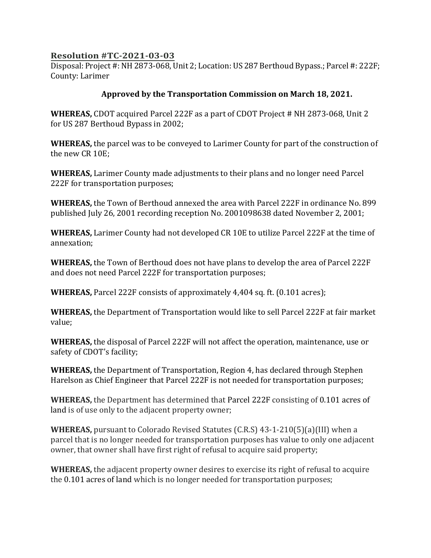## **Resolution #TC-2021-03-03**

Disposal: Project #: NH 2873-068, Unit 2; Location: US 287 Berthoud Bypass.; Parcel #: 222F; County: Larimer

## **Approved by the Transportation Commission on March 18, 2021.**

**WHEREAS,** CDOT acquired Parcel 222F as a part of CDOT Project # NH 2873-068, Unit 2 for US 287 Berthoud Bypass in 2002;

**WHEREAS,** the parcel was to be conveyed to Larimer County for part of the construction of the new CR 10E;

**WHEREAS,** Larimer County made adjustments to their plans and no longer need Parcel 222F for transportation purposes;

**WHEREAS,** the Town of Berthoud annexed the area with Parcel 222F in ordinance No. 899 published July 26, 2001 recording reception No. 2001098638 dated November 2, 2001;

**WHEREAS,** Larimer County had not developed CR 10E to utilize Parcel 222F at the time of annexation;

**WHEREAS,** the Town of Berthoud does not have plans to develop the area of Parcel 222F and does not need Parcel 222F for transportation purposes;

**WHEREAS,** Parcel 222F consists of approximately 4,404 sq. ft. (0.101 acres);

**WHEREAS,** the Department of Transportation would like to sell Parcel 222F at fair market value;

**WHEREAS,** the disposal of Parcel 222F will not affect the operation, maintenance, use or safety of CDOT's facility;

**WHEREAS,** the Department of Transportation, Region 4, has declared through Stephen Harelson as Chief Engineer that Parcel 222F is not needed for transportation purposes;

**WHEREAS,** the Department has determined that Parcel 222F consisting of 0.101 acres of land is of use only to the adjacent property owner;

**WHEREAS,** pursuant to Colorado Revised Statutes (C.R.S) 43-1-210(5)(a)(III) when a parcel that is no longer needed for transportation purposes has value to only one adjacent owner, that owner shall have first right of refusal to acquire said property;

**WHEREAS,** the adjacent property owner desires to exercise its right of refusal to acquire the 0.101 acres of land which is no longer needed for transportation purposes;